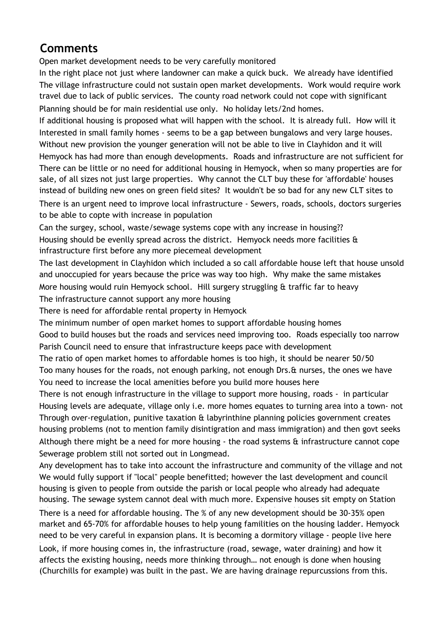## **Comments**

Open market development needs to be very carefully monitored

In the right place not just where landowner can make a quick buck. We already have identified The village infrastructure could not sustain open market developments. Work would require work travel due to lack of public services. The county road network could not cope with significant Planning should be for main residential use only. No holiday lets/2nd homes.

If additional housing is proposed what will happen with the school. It is already full. How will it Interested in small family homes - seems to be a gap between bungalows and very large houses. Without new provision the younger generation will not be able to live in Clayhidon and it will Hemyock has had more than enough developments. Roads and infrastructure are not sufficient for There can be little or no need for additional housing in Hemyock, when so many properties are for sale, of all sizes not just large properties. Why cannot the CLT buy these for 'affordable' houses instead of building new ones on green field sites? It wouldn't be so bad for any new CLT sites to

There is an urgent need to improve local infrastructure - Sewers, roads, schools, doctors surgeries to be able to copte with increase in population

Can the surgey, school, waste/sewage systems cope with any increase in housing?? Housing should be evenlly spread across the district. Hemyock needs more facilities & infrastructure first before any more piecemeal development

The last development in Clayhidon which included a so call affordable house left that house unsold and unoccupied for years because the price was way too high. Why make the same mistakes More housing would ruin Hemyock school. Hill surgery struggling & traffic far to heavy The infrastructure cannot support any more housing

There is need for affordable rental property in Hemyock

The minimum number of open market homes to support affordable housing homes

Good to build houses but the roads and services need improving too. Roads especially too narrow Parish Council need to ensure that infrastructure keeps pace with development

The ratio of open market homes to affordable homes is too high, it should be nearer 50/50 Too many houses for the roads, not enough parking, not enough Drs. & nurses, the ones we have You need to increase the local amenities before you build more houses here

There is not enough infrastructure in the village to support more housing, roads - in particular Housing levels are adequate, village only i.e. more homes equates to turning area into a town- not Through over-regulation, punitive taxation & labyrinthine planning policies government creates housing problems (not to mention family disintigration and mass immigration) and then govt seeks Although there might be a need for more housing - the road systems  $\hat{\alpha}$  infrastructure cannot cope Sewerage problem still not sorted out in Longmead.

Any development has to take into account the infrastructure and community of the village and not We would fully support if "local" people benefitted; however the last development and council housing is given to people from outside the parish or local people who already had adequate housing. The sewage system cannot deal with much more. Expensive houses sit empty on Station

There is a need for affordable housing. The % of any new development should be 30-35% open market and 65-70% for affordable houses to help young familities on the housing ladder. Hemyock need to be very careful in expansion plans. It is becoming a dormitory village - people live here Look, if more housing comes in, the infrastructure (road, sewage, water draining) and how it affects the existing housing, needs more thinking through… not enough is done when housing (Churchills for example) was built in the past. We are having drainage repurcussions from this.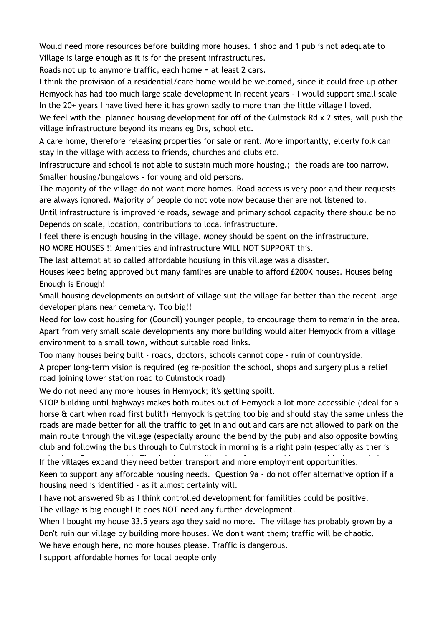Would need more resources before building more houses. 1 shop and 1 pub is not adequate to Village is large enough as it is for the present infrastructures.

Roads not up to anymore traffic, each home = at least 2 cars.

I think the proivision of a residential/care home would be welcomed, since it could free up other Hemyock has had too much large scale development in recent years - I would support small scale In the 20+ years I have lived here it has grown sadly to more than the little village I loved.

We feel with the planned housing development for off of the Culmstock Rd x 2 sites, will push the village infrastructure beyond its means eg Drs, school etc.

A care home, therefore releasing properties for sale or rent. More importantly, elderly folk can stay in the village with access to friends, churches and clubs etc.

Infrastructure and school is not able to sustain much more housing.; the roads are too narrow. Smaller housing/bungalows - for young and old persons.

The majority of the village do not want more homes. Road access is very poor and their requests are always ignored. Majority of people do not vote now because ther are not listened to.

Until infrastructure is improved ie roads, sewage and primary school capacity there should be no Depends on scale, location, contributions to local infrastructure.

I feel there is enough housing in the village. Money should be spent on the infrastructure.

NO MORE HOUSES !! Amenities and infrastructure WILL NOT SUPPORT this.

The last attempt at so called affordable housiung in this village was a disaster.

Houses keep being approved but many families are unable to afford £200K houses. Houses being Enough is Enough!

Small housing developments on outskirt of village suit the village far better than the recent large developer plans near cemetary. Too big!!

Need for low cost housing for (Council) younger people, to encourage them to remain in the area. Apart from very small scale developments any more building would alter Hemyock from a village environment to a small town, without suitable road links.

Too many houses being built - roads, doctors, schools cannot cope - ruin of countryside.

A proper long-term vision is required (eg re-position the school, shops and surgery plus a relief road joining lower station road to Culmstock road)

We do not need any more houses in Hemyock; it's getting spoilt.

STOP building until highways makes both routes out of Hemyock a lot more accessible (ideal for a horse & cart when road first bulit!) Hemyock is getting too big and should stay the same unless the roads are made better for all the traffic to get in and out and cars are not allowed to park on the main route through the village (especially around the bend by the pub) and also opposite bowling club and following the bus through to Culmstock in morning is a right pain (especially as ther is only about 5 per contract on it). The developers with the villages expand they need better transport and more employment opportunities.

Keen to support any affordable housing needs. Question 9a - do not offer alternative option if a housing need is identified - as it almost certainly will.

I have not answered 9b as I think controlled development for familities could be positive. The village is big enough! It does NOT need any further development.

When I bought my house 33.5 years ago they said no more. The village has probably grown by a Don't ruin our village by building more houses. We don't want them; traffic will be chaotic.

We have enough here, no more houses please. Traffic is dangerous.

I support affordable homes for local people only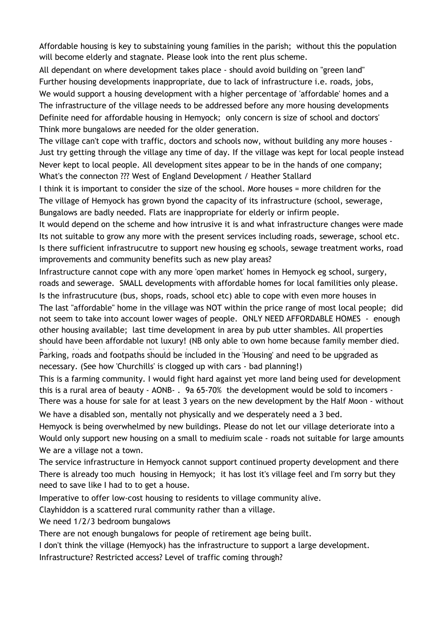Affordable housing is key to substaining young families in the parish; without this the population will become elderly and stagnate. Please look into the rent plus scheme.

All dependant on where development takes place - should avoid building on "green land" Further housing developments inappropriate, due to lack of infrastructure i.e. roads, jobs, We would support a housing development with a higher percentage of 'affordable' homes and a The infrastructure of the village needs to be addressed before any more housing developments Definite need for affordable housing in Hemyock; only concern is size of school and doctors' Think more bungalows are needed for the older generation.

The village can't cope with traffic, doctors and schools now, without building any more houses - Just try getting through the village any time of day. If the village was kept for local people instead Never kept to local people. All development sites appear to be in the hands of one company; What's the connecton ??? West of England Development / Heather Stallard

I think it is important to consider the size of the school. More houses = more children for the The village of Hemyock has grown byond the capacity of its infrastructure (school, sewerage, Bungalows are badly needed. Flats are inappropriate for elderly or infirm people.

It would depend on the scheme and how intrusive it is and what infrastructure changes were made Its not suitable to grow any more with the present services including roads, sewerage, school etc. Is there sufficient infrastrucutre to support new housing eg schools, sewage treatment works, road improvements and community benefits such as new play areas?

Infrastructure cannot cope with any more 'open market' homes in Hemyock eg school, surgery, roads and sewerage. SMALL developments with affordable homes for local familities only please.

Is the infrastrucuture (bus, shops, roads, school etc) able to cope with even more houses in The last "affordable" home in the village was NOT within the price range of most local people; did not seem to take into account lower wages of people. ONLY NEED AFFORDABLE HOMES - enough other housing available; last time development in area by pub utter shambles. All properties should have been affordable not luxury! (NB only able to own home because family member died.

Parking, roads and footpaths should be included in the 'Housing' and need to be upgraded as necessary. (See how 'Churchills' is clogged up with cars - bad planning!)

This is a farming community. I would fight hard against yet more land being used for development this is a rural area of beauty - AONB- . 9a 65-70% the development would be sold to incomers - There was a house for sale for at least 3 years on the new development by the Half Moon - without We have a disabled son, mentally not physically and we desperately need a 3 bed.

Hemyock is being overwhelmed by new buildings. Please do not let our village deteriorate into a Would only support new housing on a small to mediuim scale - roads not suitable for large amounts We are a village not a town.

The service infrastructure in Hemyock cannot support continued property development and there There is already too much housing in Hemyock; it has lost it's village feel and I'm sorry but they need to save like I had to to get a house.

Imperative to offer low-cost housing to residents to village community alive.

Clayhiddon is a scattered rural community rather than a village.

We need 1/2/3 bedroom bungalows

There are not enough bungalows for people of retirement age being built.

I don't think the village (Hemyock) has the infrastructure to support a large development.

Infrastructure? Restricted access? Level of traffic coming through?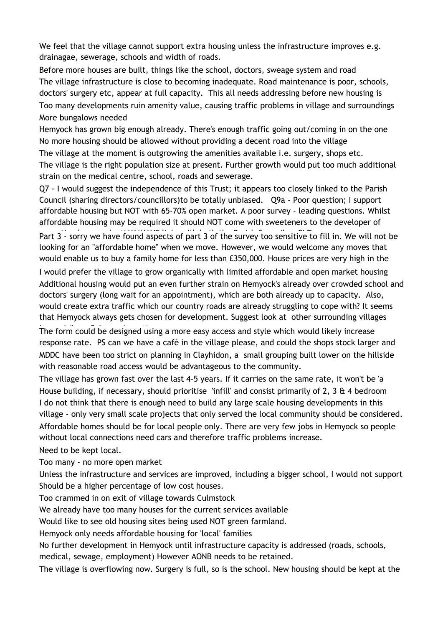We feel that the village cannot support extra housing unless the infrastructure improves e.g. drainagae, sewerage, schools and width of roads.

Before more houses are built, things like the school, doctors, sweage system and road The village infrastructure is close to becoming inadequate. Road maintenance is poor, schools, doctors' surgery etc, appear at full capacity. This all needs addressing before new housing is Too many developments ruin amenity value, causing traffic problems in village and surroundings More bungalows needed

Hemyock has grown big enough already. There's enough traffic going out/coming in on the one No more housing should be allowed without providing a decent road into the village

The village at the moment is outgrowing the amenities available i.e. surgery, shops etc. The village is the right population size at present. Further growth would put too much additional strain on the medical centre, school, roads and sewerage.

Q7 - I would suggest the independence of this Trust; it appears too closely linked to the Parish Council (sharing directors/councillors)to be totally unbiased. Q9a - Poor question; I support affordable housing but NOT with 65-70% open market. A poor survey - leading questions. Whilst affordable housing may be required it should NOT come with sweeteners to the developer of

Part 3 - sorry we have found aspects of part 3 of the survey too sensitive to fill in. We will not be looking for an "affordable home" when we move. However, we would welcome any moves that would enable us to buy a family home for less than £350,000. House prices are very high in the

I would prefer the village to grow organically with limited affordable and open market housing Additional housing would put an even further strain on Hemyock's already over crowded school and doctors' surgery (long wait for an appointment), which are both already up to capacity. Also, would create extra traffic which our country roads are already struggling to cope with? It seems that Hemyock always gets chosen for development. Suggest look at other surrounding villages

The form could be designed using a more easy access and style which would likely increase response rate. PS can we have a café in the village please, and could the shops stock larger and MDDC have been too strict on planning in Clayhidon, a small grouping built lower on the hillside with reasonable road access would be advantageous to the community.

The village has grown fast over the last 4-5 years. If it carries on the same rate, it won't be 'a House building, if necessary, should prioritise 'infill' and consist primarily of 2, 3  $\&$  4 bedroom I do not think that there is enough need to build any large scale housing developments in this village - only very small scale projects that only served the local community should be considered. Affordable homes should be for local people only. There are very few jobs in Hemyock so people without local connections need cars and therefore traffic problems increase.

Need to be kept local.

Too many - no more open market

Unless the infrastructure and services are improved, including a bigger school, I would not support Should be a higher percentage of low cost houses.

Too crammed in on exit of village towards Culmstock

We already have too many houses for the current services available

Would like to see old housing sites being used NOT green farmland.

Hemyock only needs affordable housing for 'local' families

No further development in Hemyock until infrastructure capacity is addressed (roads, schools,

medical, sewage, employment) However AONB needs to be retained.

The village is overflowing now. Surgery is full, so is the school. New housing should be kept at the